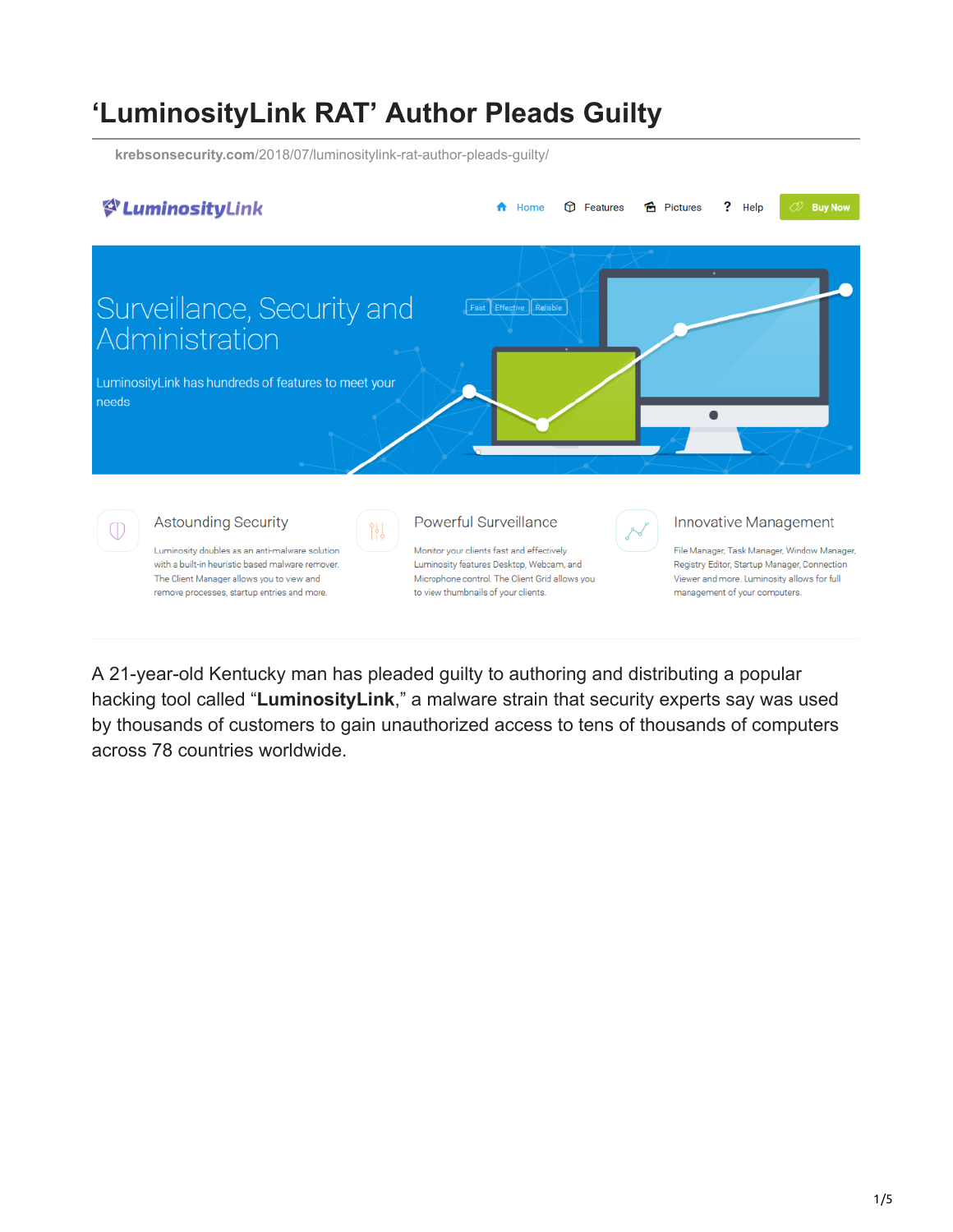## **'LuminosityLink RAT' Author Pleads Guilty**

**krebsonsecurity.com**[/2018/07/luminositylink-rat-author-pleads-guilty/](https://krebsonsecurity.com/2018/07/luminositylink-rat-author-pleads-guilty/)



A 21-year-old Kentucky man has pleaded guilty to authoring and distributing a popular hacking tool called "**LuminosityLink**," a malware strain that security experts say was used by thousands of customers to gain unauthorized access to tens of thousands of computers across 78 countries worldwide.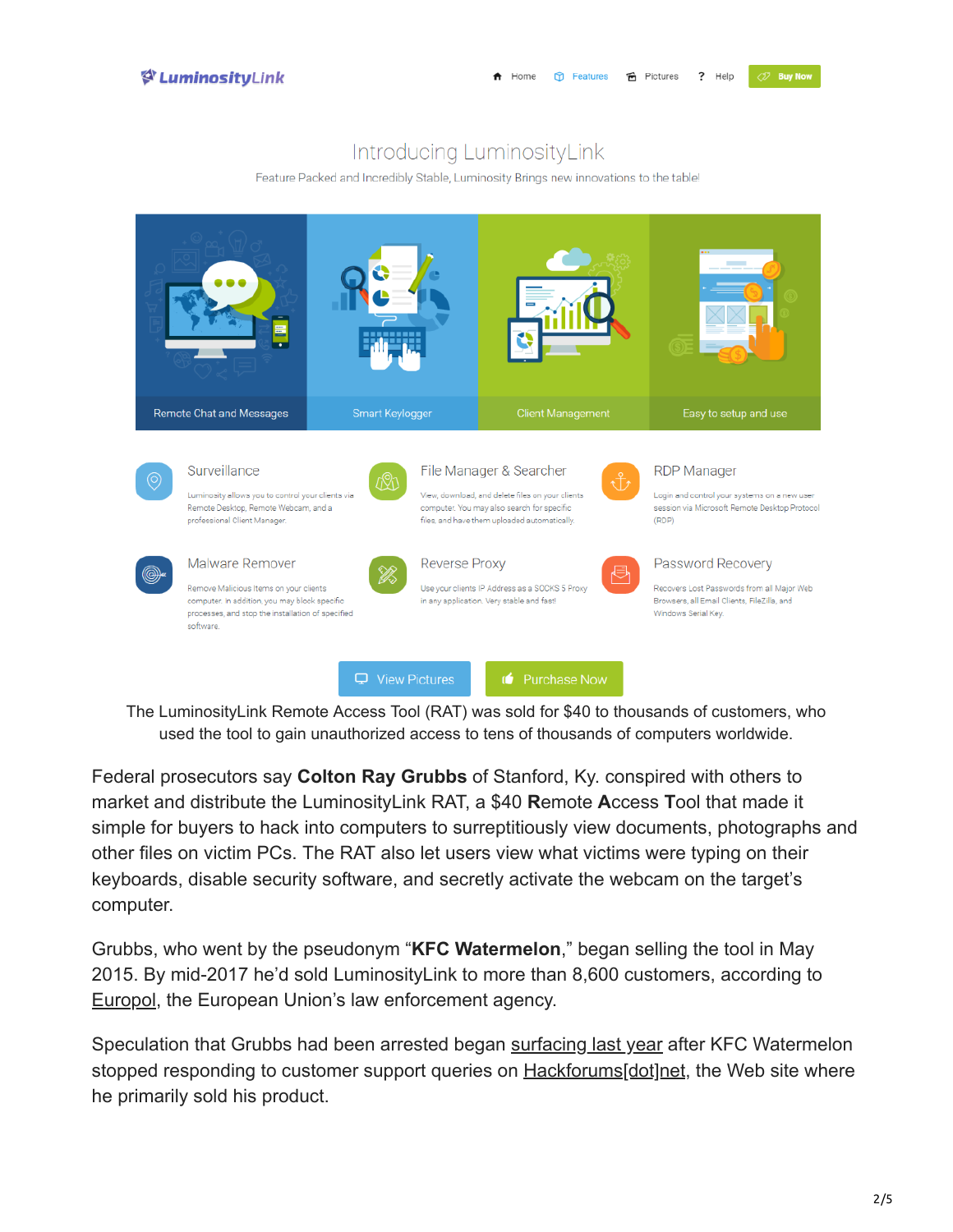**OF Buy No** 

## Introducing LuminosityLink

Feature Packed and Incredibly Stable, Luminosity Brings new innovations to the table!



The LuminosityLink Remote Access Tool (RAT) was sold for \$40 to thousands of customers, who used the tool to gain unauthorized access to tens of thousands of computers worldwide.

Federal prosecutors say **Colton Ray Grubbs** of Stanford, Ky. conspired with others to market and distribute the LuminosityLink RAT, a \$40 **R**emote **A**ccess **T**ool that made it simple for buyers to hack into computers to surreptitiously view documents, photographs and other files on victim PCs. The RAT also let users view what victims were typing on their keyboards, disable security software, and secretly activate the webcam on the target's computer.

Grubbs, who went by the pseudonym "**KFC Watermelon**," began selling the tool in May 2015. By mid-2017 he'd sold LuminosityLink to more than 8,600 customers, according to [Europol](https://www.europol.europa.eu/newsroom/news/international-crackdown-anti-spyware-malware), the European Union's law enforcement agency.

Speculation that Grubbs had been arrested began [surfacing last year](https://researchcenter.paloaltonetworks.com/2018/02/unit42-rat-trapped-luminositylink-falls-foul-vermin-eradication-efforts/) after KFC Watermelon stopped responding to customer support queries on [Hackforums\[dot\]net](https://krebsonsecurity.com/?s=hackforums&x=0&y=0), the Web site where he primarily sold his product.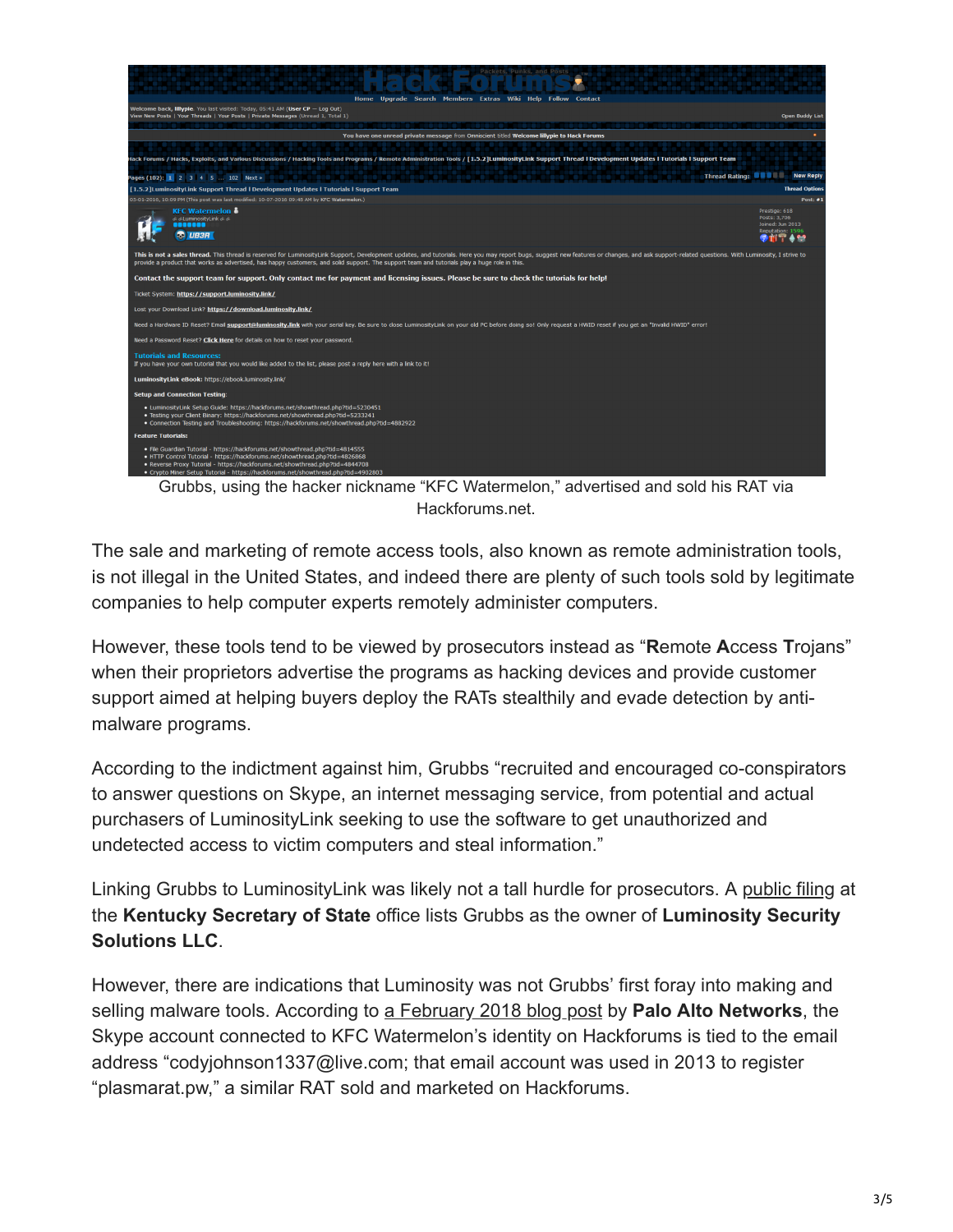

Grubbs, using the hacker nickname "KFC Watermelon," advertised and sold his RAT via Hackforums.net.

The sale and marketing of remote access tools, also known as remote administration tools, is not illegal in the United States, and indeed there are plenty of such tools sold by legitimate companies to help computer experts remotely administer computers.

However, these tools tend to be viewed by prosecutors instead as "**R**emote **A**ccess **T**rojans" when their proprietors advertise the programs as hacking devices and provide customer support aimed at helping buyers deploy the RATs stealthily and evade detection by antimalware programs.

According to the indictment against him, Grubbs "recruited and encouraged co-conspirators to answer questions on Skype, an internet messaging service, from potential and actual purchasers of LuminosityLink seeking to use the software to get unauthorized and undetected access to victim computers and steal information."

Linking Grubbs to LuminosityLink was likely not a tall hurdle for prosecutors. A [public filing](https://opencorporates.com/companies/us_ky/0954545) at the **Kentucky Secretary of State** office lists Grubbs as the owner of **Luminosity Security Solutions LLC**.

However, there are indications that Luminosity was not Grubbs' first foray into making and selling malware tools. According to [a February 2018 blog post](https://researchcenter.paloaltonetworks.com/2018/02/unit42-rat-trapped-luminositylink-falls-foul-vermin-eradication-efforts/) by **Palo Alto Networks**, the Skype account connected to KFC Watermelon's identity on Hackforums is tied to the email address "codyjohnson1337@live.com; that email account was used in 2013 to register "plasmarat.pw," a similar RAT sold and marketed on Hackforums.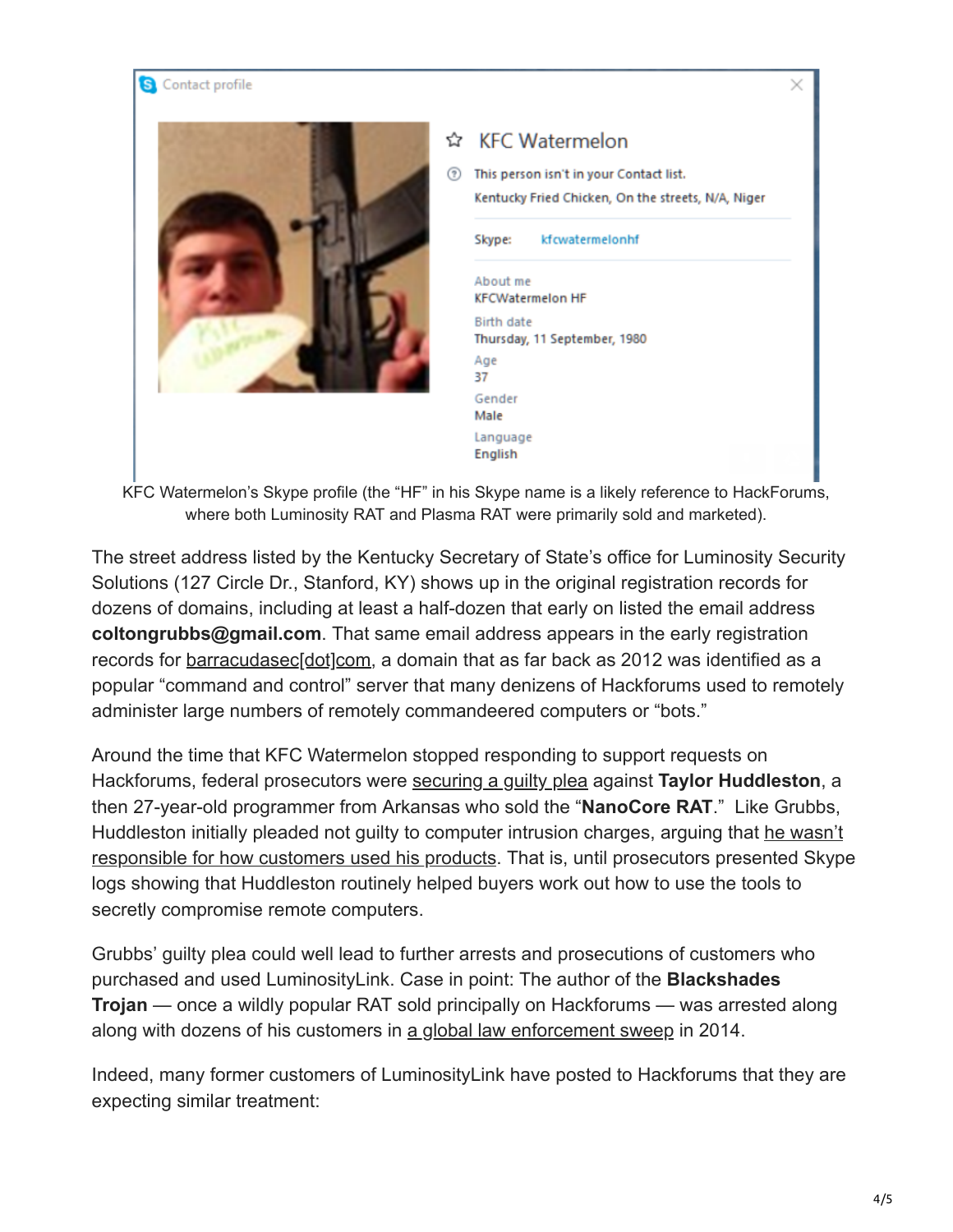

| Z | <b>KFC Watermelon</b><br>This person isn't in your Contact list.<br>Kentucky Fried Chicken, On the streets, N/A, Niger |                 |
|---|------------------------------------------------------------------------------------------------------------------------|-----------------|
| Ð |                                                                                                                        |                 |
|   | Skype:                                                                                                                 | kfcwatermelonhf |
|   | About me<br><b>KFCWatermelon HF</b>                                                                                    |                 |
|   | Birth date<br>Thursday, 11 September, 1980                                                                             |                 |
|   | Age<br>37                                                                                                              |                 |
|   | Gender<br>Male                                                                                                         |                 |
|   | Language<br>English                                                                                                    |                 |

KFC Watermelon's Skype profile (the "HF" in his Skype name is a likely reference to HackForums, where both Luminosity RAT and Plasma RAT were primarily sold and marketed).

The street address listed by the Kentucky Secretary of State's office for Luminosity Security Solutions (127 Circle Dr., Stanford, KY) shows up in the original registration records for dozens of domains, including at least a half-dozen that early on listed the email address **coltongrubbs@gmail.com**. That same email address appears in the early registration records for [barracudasec\[dot\]com](https://www.exposedbotnets.com/2012/10/chatbarracudaseccom-barracuda-ircbotnet.html), a domain that as far back as 2012 was identified as a popular "command and control" server that many denizens of Hackforums used to remotely administer large numbers of remotely commandeered computers or "bots."

Around the time that KFC Watermelon stopped responding to support requests on Hackforums, federal prosecutors were [securing a guilty plea](https://krebsonsecurity.com/2018/02/bot-roundup-avalanche-kronos-nanocore/) against **Taylor Huddleston**, a then 27-year-old programmer from Arkansas who sold the "**NanoCore RAT**." Like Grubbs, [Huddleston initially pleaded not guilty to computer intrusion charges, arguing that he wasn't](https://krebsonsecurity.com/2017/04/dual-use-software-criminal-case-not-so-novel/) responsible for how customers used his products. That is, until prosecutors presented Skype logs showing that Huddleston routinely helped buyers work out how to use the tools to secretly compromise remote computers.

Grubbs' guilty plea could well lead to further arrests and prosecutions of customers who purchased and used LuminosityLink. Case in point: The author of the **Blackshades Trojan** — once a wildly popular RAT sold principally on Hackforums — was arrested along along with dozens of his customers in [a global law enforcement sweep](https://krebsonsecurity.com/2014/05/blackshades-trojan-users-had-it-coming/) in 2014.

Indeed, many former customers of LuminosityLink have posted to Hackforums that they are expecting similar treatment: